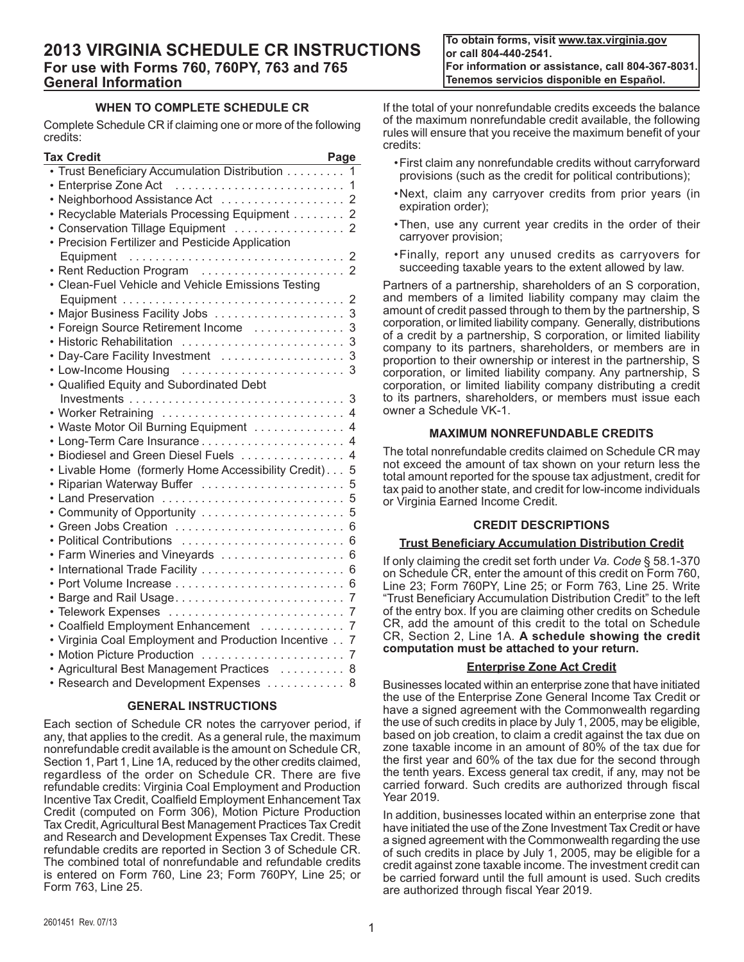**To obtain forms, visit www.tax.virginia.gov or call 804-440-2541. For information or assistance, call 804-367-8031. Tenemos servicios disponible en Español.**

# **WHEN TO COMPLETE SCHEDULE CR**

Complete Schedule CR if claiming one or more of the following credits:

| Tax Credit                                         | Page           |
|----------------------------------------------------|----------------|
| • Trust Beneficiary Accumulation Distribution      | 1              |
| • Enterprise Zone Act                              | 1              |
| Neighborhood Assistance Act                        | 2              |
| Recyclable Materials Processing Equipment 2        |                |
| Conservation Tillage Equipment  2                  |                |
| Precision Fertilizer and Pesticide Application     |                |
| Equipment                                          | 2              |
| • Rent Reduction Program                           | $\overline{2}$ |
| • Clean-Fuel Vehicle and Vehicle Emissions Testing |                |
|                                                    | 2              |
| Major Business Facility Jobs                       | 3              |
| Foreign Source Retirement Income                   | 3              |
| <b>Historic Rehabilitation</b>                     | 3              |
| Day-Care Facility Investment                       | 3              |
| • Low-Income Housing                               | 3              |
| • Qualified Equity and Subordinated Debt           |                |
|                                                    | 3              |
| • Worker Retraining  4                             |                |
| Waste Motor Oil Burning Equipment                  | 4              |
|                                                    | 4              |
| Biodiesel and Green Diesel Fuels                   | 4              |
| Livable Home (formerly Home Accessibility Credit)  | 5              |
| Riparian Waterway Buffer                           | 5              |
| Land Preservation                                  | 5              |
| Community of Opportunity                           | 5              |
| Green Jobs Creation                                | 6              |
| Political Contributions                            | 6              |
| Farm Wineries and Vineyards                        | 6              |
| International Trade Facility                       | 6              |
|                                                    | 6              |
| Barge and Rail Usage                               | 7              |
|                                                    | 7              |
| Coalfield Employment Enhancement                   | 7              |
| Virginia Coal Employment and Production Incentive  | 7              |
| <b>Motion Picture Production</b>                   | 7              |
| Agricultural Best Management Practices             | 8              |
| • Research and Development Expenses                | 8              |

### **GENERAL INSTRUCTIONS**

Each section of Schedule CR notes the carryover period, if any, that applies to the credit. As a general rule, the maximum nonrefundable credit available is the amount on Schedule CR, Section 1, Part 1, Line 1A, reduced by the other credits claimed, regardless of the order on Schedule CR. There are five refundable credits: Virginia Coal Employment and Production Incentive Tax Credit, Coalfield Employment Enhancement Tax Credit (computed on Form 306), Motion Picture Production Tax Credit, Agricultural Best Management Practices Tax Credit and Research and Development Expenses Tax Credit. These refundable credits are reported in Section 3 of Schedule CR. The combined total of nonrefundable and refundable credits is entered on Form 760, Line 23; Form 760PY, Line 25; or Form 763, Line 25.

If the total of your nonrefundable credits exceeds the balance of the maximum nonrefundable credit available, the following rules will ensure that you receive the maximum benefit of your credits:

- • First claim any nonrefundable credits without carryforward provisions (such as the credit for political contributions);
- • Next, claim any carryover credits from prior years (in expiration order);
- Then, use any current year credits in the order of their carryover provision;
- • Finally, report any unused credits as carryovers for succeeding taxable years to the extent allowed by law.

Partners of a partnership, shareholders of an S corporation, and members of a limited liability company may claim the amount of credit passed through to them by the partnership, S corporation, or limited liability company. Generally, distributions of a credit by a partnership, S corporation, or limited liability company to its partners, shareholders, or members are in proportion to their ownership or interest in the partnership, S corporation, or limited liability company. Any partnership, S corporation, or limited liability company distributing a credit to its partners, shareholders, or members must issue each owner a Schedule VK-1.

### **MAXIMUM NONREFUNDABLE CREDITS**

The total nonrefundable credits claimed on Schedule CR may not exceed the amount of tax shown on your return less the total amount reported for the spouse tax adjustment, credit for tax paid to another state, and credit for low-income individuals or Virginia Earned Income Credit.

### **CREDIT DESCRIPTIONS**

### **Trust Beneficiary Accumulation Distribution Credit**

If only claiming the credit set forth under *Va. Code* § 58.1‑370 on Schedule CR, enter the amount of this credit on Form 760, Line 23; Form 760PY, Line 25; or Form 763, Line 25. Write "Trust Beneficiary Accumulation Distribution Credit" to the left of the entry box. If you are claiming other credits on Schedule CR, add the amount of this credit to the total on Schedule CR, Section 2, Line 1A. **A schedule showing the credit computation must be attached to your return.**

### **Enterprise Zone Act Credit**

Businesses located within an enterprise zone that have initiated the use of the Enterprise Zone General Income Tax Credit or have a signed agreement with the Commonwealth regarding the use of such credits in place by July 1, 2005, may be eligible, based on job creation, to claim a credit against the tax due on zone taxable income in an amount of 80% of the tax due for the first year and 60% of the tax due for the second through the tenth years. Excess general tax credit, if any, may not be carried forward. Such credits are authorized through fiscal Year 2019.

In addition, businesses located within an enterprise zone that have initiated the use of the Zone Investment Tax Credit or have a signed agreement with the Commonwealth regarding the use of such credits in place by July 1, 2005, may be eligible for a credit against zone taxable income. The investment credit can be carried forward until the full amount is used. Such credits are authorized through fiscal Year 2019.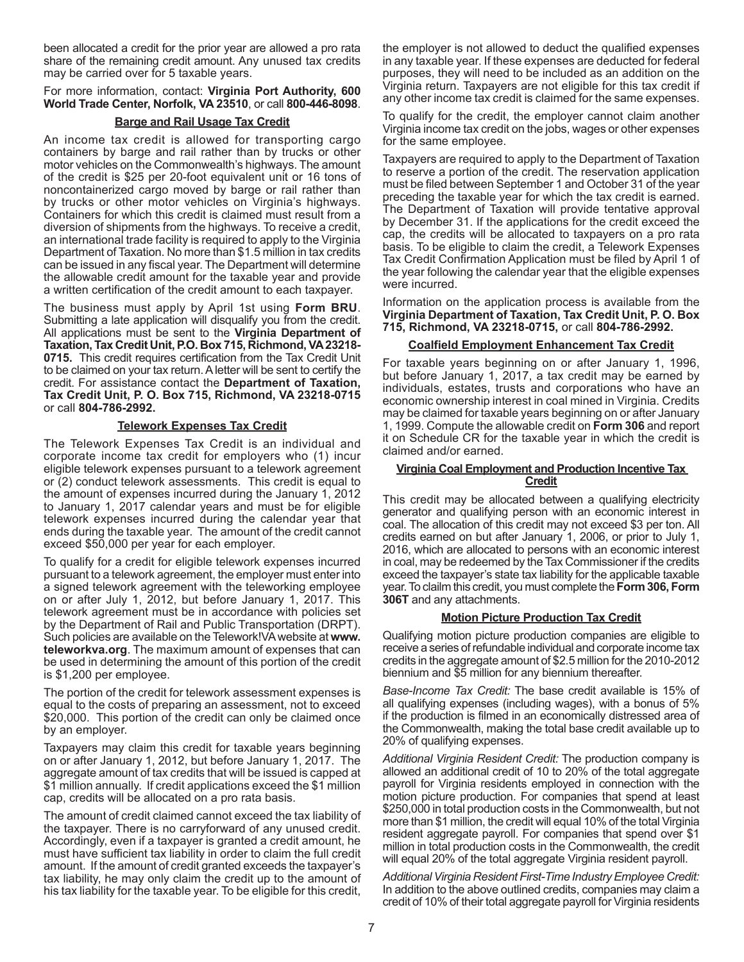been allocated a credit for the prior year are allowed a pro rata share of the remaining credit amount. Any unused tax credits may be carried over for 5 taxable years.

### For more information, contact: **Virginia Port Authority, 600 World Trade Center, Norfolk, VA 23510**, or call **800-446-8098**.

### **Barge and Rail Usage Tax Credit**

An income tax credit is allowed for transporting cargo containers by barge and rail rather than by trucks or other motor vehicles on the Commonwealth's highways. The amount of the credit is \$25 per 20-foot equivalent unit or 16 tons of noncontainerized cargo moved by barge or rail rather than by trucks or other motor vehicles on Virginia's highways. Containers for which this credit is claimed must result from a diversion of shipments from the highways. To receive a credit, an international trade facility is required to apply to the Virginia Department of Taxation. No more than \$1.5 million in tax credits can be issued in any fiscal year. The Department will determine the allowable credit amount for the taxable year and provide a written certification of the credit amount to each taxpayer.

The business must apply by April 1st using **Form BRU**. Submitting a late application will disqualify you from the credit. All applications must be sent to the **Virginia Department of Taxation, Tax Credit Unit, P.O. Box 715, Richmond, VA 23218- 0715.** This credit requires certification from the Tax Credit Unit to be claimed on your tax return. A letter will be sent to certify the credit. For assistance contact the **Department of Taxation, Tax Credit Unit, P. O. Box 715, Richmond, VA 23218-0715**  or call **804-786-2992.**

### **Telework Expenses Tax Credit**

The Telework Expenses Tax Credit is an individual and corporate income tax credit for employers who (1) incur eligible telework expenses pursuant to a telework agreement or (2) conduct telework assessments. This credit is equal to the amount of expenses incurred during the January 1, 2012 to January 1, 2017 calendar years and must be for eligible telework expenses incurred during the calendar year that ends during the taxable year. The amount of the credit cannot exceed \$50,000 per year for each employer.

To qualify for a credit for eligible telework expenses incurred pursuant to a telework agreement, the employer must enter into a signed telework agreement with the teleworking employee on or after July 1, 2012, but before January 1, 2017. This telework agreement must be in accordance with policies set by the Department of Rail and Public Transportation (DRPT). Such policies are available on the Telework!VAwebsite at **www. teleworkva.org**. The maximum amount of expenses that can be used in determining the amount of this portion of the credit is \$1,200 per employee.

The portion of the credit for telework assessment expenses is equal to the costs of preparing an assessment, not to exceed \$20,000. This portion of the credit can only be claimed once by an employer.

Taxpayers may claim this credit for taxable years beginning on or after January 1, 2012, but before January 1, 2017. The aggregate amount of tax credits that will be issued is capped at \$1 million annually. If credit applications exceed the \$1 million cap, credits will be allocated on a pro rata basis.

The amount of credit claimed cannot exceed the tax liability of the taxpayer. There is no carryforward of any unused credit. Accordingly, even if a taxpayer is granted a credit amount, he must have sufficient tax liability in order to claim the full credit amount. If the amount of credit granted exceeds the taxpayer's tax liability, he may only claim the credit up to the amount of his tax liability for the taxable year. To be eligible for this credit,

the employer is not allowed to deduct the qualified expenses in any taxable year. If these expenses are deducted for federal purposes, they will need to be included as an addition on the Virginia return. Taxpayers are not eligible for this tax credit if any other income tax credit is claimed for the same expenses.

To qualify for the credit, the employer cannot claim another Virginia income tax credit on the jobs, wages or other expenses for the same employee.

Taxpayers are required to apply to the Department of Taxation to reserve a portion of the credit. The reservation application must be filed between September 1 and October 31 of the year preceding the taxable year for which the tax credit is earned. The Department of Taxation will provide tentative approval by December 31. If the applications for the credit exceed the cap, the credits will be allocated to taxpayers on a pro rata basis. To be eligible to claim the credit, a Telework Expenses Tax Credit Confirmation Application must be filed by April 1 of the year following the calendar year that the eligible expenses were incurred.

Information on the application process is available from the **Virginia Department of Taxation, Tax Credit Unit, P. O. Box 715, Richmond, VA 23218-0715,** or call **804-786-2992.**

### **Coalfield Employment Enhancement Tax Credit**

For taxable years beginning on or after January 1, 1996, but before January 1, 2017, a tax credit may be earned by individuals, estates, trusts and corporations who have an economic ownership interest in coal mined in Virginia. Credits may be claimed for taxable years beginning on or after January 1, 1999. Compute the allowable credit on **Form 306** and report it on Schedule CR for the taxable year in which the credit is claimed and/or earned.

### **Virginia Coal Employment and Production Incentive Tax Credit**

This credit may be allocated between a qualifying electricity generator and qualifying person with an economic interest in coal. The allocation of this credit may not exceed \$3 per ton. All credits earned on but after January 1, 2006, or prior to July 1, 2016, which are allocated to persons with an economic interest in coal, may be redeemed by the Tax Commissioner if the credits exceed the taxpayer's state tax liability for the applicable taxable year.To clailm this credit, you must complete the **Form 306, Form 306T** and any attachments.

# **Motion Picture Production Tax Credit**

Qualifying motion picture production companies are eligible to receive a series of refundable individual and corporate income tax credits in the aggregate amount of \$2.5 million for the 2010-2012 biennium and \$5 million for any biennium thereafter.

*Base-Income Tax Credit:* The base credit available is 15% of all qualifying expenses (including wages), with a bonus of 5% if the production is filmed in an economically distressed area of the Commonwealth, making the total base credit available up to 20% of qualifying expenses.

*Additional Virginia Resident Credit:* The production company is allowed an additional credit of 10 to 20% of the total aggregate payroll for Virginia residents employed in connection with the motion picture production. For companies that spend at least \$250,000 in total production costs in the Commonwealth, but not more than \$1 million, the credit will equal 10% of the total Virginia resident aggregate payroll. For companies that spend over \$1 million in total production costs in the Commonwealth, the credit will equal 20% of the total aggregate Virginia resident payroll.

*Additional Virginia Resident First-Time Industry Employee Credit:* In addition to the above outlined credits, companies may claim a credit of 10% of their total aggregate payroll for Virginia residents